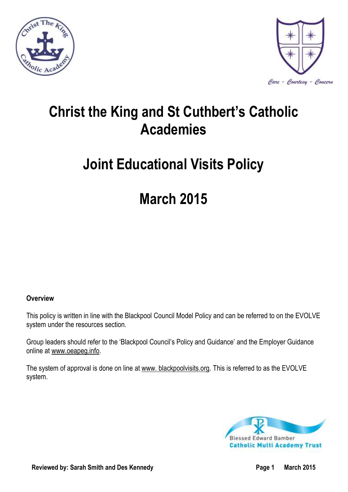



# **Christ the King and St Cuthbert's Catholic Academies**

# **Joint Educational Visits Policy**

# **March 2015**

# **Overview**

This policy is written in line with the Blackpool Council Model Policy and can be referred to on the EVOLVE system under the resources section.

Group leaders should refer to the 'Blackpool Council's Policy and Guidance' and the Employer Guidance online at [www.oeapeg.info.](http://www.oeapeg.info/)

The system of approval is done on line at www. blackpoolvisits.org. This is referred to as the EVOLVE system.

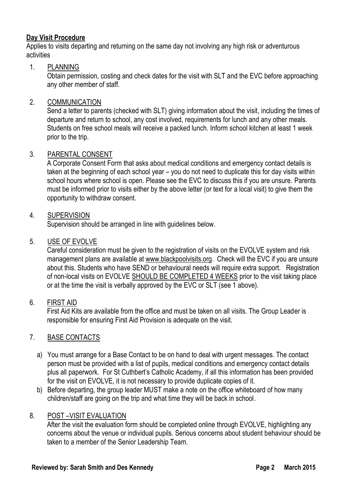# **Day Visit Procedure**

Applies to visits departing and returning on the same day not involving any high risk or adventurous activities

# 1. PLANNING

Obtain permission, costing and check dates for the visit with SLT and the EVC before approaching any other member of staff.

# 2. COMMUNICATION

Send a letter to parents (checked with SLT) giving information about the visit, including the times of departure and return to school, any cost involved, requirements for lunch and any other meals. Students on free school meals will receive a packed lunch. Inform school kitchen at least 1 week prior to the trip.

# 3. PARENTAL CONSENT

A Corporate Consent Form that asks about medical conditions and emergency contact details is taken at the beginning of each school year – you do not need to duplicate this for day visits within school hours where school is open. Please see the EVC to discuss this if you are unsure. Parents must be informed prior to visits either by the above letter (or text for a local visit) to give them the opportunity to withdraw consent.

# 4. SUPERVISION

Supervision should be arranged in line with guidelines below.

# 5. USE OF EVOLVE

Careful consideration must be given to the registration of visits on the EVOLVE system and risk management plans are available at [www.blackpoolvisits.org.](http://www.blackpoolvisits.org/) Check will the EVC if you are unsure about this. Students who have SEND or behavioural needs will require extra support. Registration of non-local visits on EVOLVE SHOULD BE COMPLETED 4 WEEKS prior to the visit taking place or at the time the visit is verbally approved by the EVC or SLT (see 1 above).

# 6. FIRST AID

First Aid Kits are available from the office and must be taken on all visits. The Group Leader is responsible for ensuring First Aid Provision is adequate on the visit.

# 7. BASE CONTACTS

- a) You must arrange for a Base Contact to be on hand to deal with urgent messages. The contact person must be provided with a list of pupils, medical conditions and emergency contact details plus all paperwork. For St Cuthbert's Catholic Academy, if all this information has been provided for the visit on EVOLVE, it is not necessary to provide duplicate copies of it.
- b) Before departing, the group leader MUST make a note on the office whiteboard of how many children/staff are going on the trip and what time they will be back in school.

# 8. POST –VISIT EVALUATION

After the visit the evaluation form should be completed online through EVOLVE, highlighting any concerns about the venue or individual pupils. Serious concerns about student behaviour should be taken to a member of the Senior Leadership Team.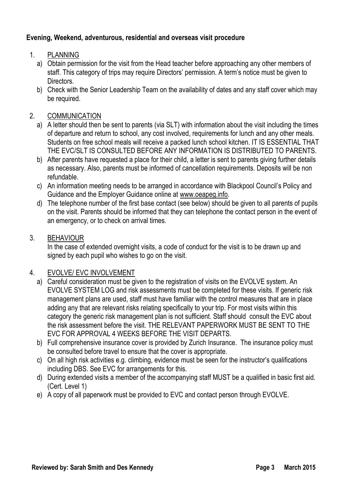# **Evening, Weekend, adventurous, residential and overseas visit procedure**

# 1. PLANNING

- a) Obtain permission for the visit from the Head teacher before approaching any other members of staff. This category of trips may require Directors' permission. A term's notice must be given to Directors.
- b) Check with the Senior Leadership Team on the availability of dates and any staff cover which may be required.

# 2. COMMUNICATION

- a) A letter should then be sent to parents (via SLT) with information about the visit including the times of departure and return to school, any cost involved, requirements for lunch and any other meals. Students on free school meals will receive a packed lunch school kitchen. IT IS ESSENTIAL THAT THE EVC/SLT IS CONSULTED BEFORE ANY INFORMATION IS DISTRIBUTED TO PARENTS.
- b) After parents have requested a place for their child, a letter is sent to parents giving further details as necessary. Also, parents must be informed of cancellation requirements. Deposits will be non refundable.
- c) An information meeting needs to be arranged in accordance with Blackpool Council's Policy and Guidance and the Employer Guidance online at [www.oeapeg.info.](http://www.oeapeg.info/)
- d) The telephone number of the first base contact (see below) should be given to all parents of pupils on the visit. Parents should be informed that they can telephone the contact person in the event of an emergency, or to check on arrival times.

# 3. BEHAVIOUR

In the case of extended overnight visits, a code of conduct for the visit is to be drawn up and signed by each pupil who wishes to go on the visit.

# 4. EVOLVE/ EVC INVOLVEMENT

- a) Careful consideration must be given to the registration of visits on the EVOLVE system. An EVOLVE SYSTEM LOG and risk assessments must be completed for these visits. If generic risk management plans are used, staff must have familiar with the control measures that are in place adding any that are relevant risks relating specifically to your trip. For most visits within this category the generic risk management plan is not sufficient. Staff should consult the EVC about the risk assessment before the visit. THE RELEVANT PAPERWORK MUST BE SENT TO THE EVC FOR APPROVAL 4 WEEKS BEFORE THE VISIT DEPARTS.
- b) Full comprehensive insurance cover is provided by Zurich Insurance. The insurance policy must be consulted before travel to ensure that the cover is appropriate.
- c) On all high risk activities e.g. climbing, evidence must be seen for the instructor's qualifications including DBS. See EVC for arrangements for this.
- d) During extended visits a member of the accompanying staff MUST be a qualified in basic first aid. (Cert. Level 1)
- e) A copy of all paperwork must be provided to EVC and contact person through EVOLVE.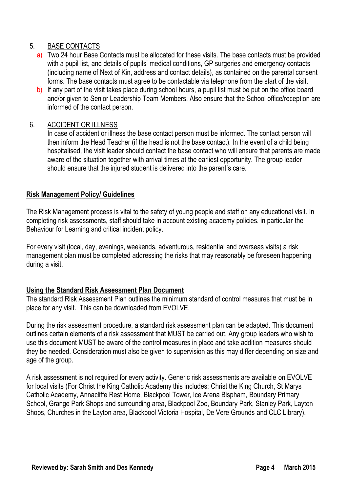# 5. BASE CONTACTS

- a) Two 24 hour Base Contacts must be allocated for these visits. The base contacts must be provided with a pupil list, and details of pupils' medical conditions, GP surgeries and emergency contacts (including name of Next of Kin, address and contact details), as contained on the parental consent forms. The base contacts must agree to be contactable via telephone from the start of the visit.
- b) If any part of the visit takes place during school hours, a pupil list must be put on the office board and/or given to Senior Leadership Team Members. Also ensure that the School office/reception are informed of the contact person.

# 6. ACCIDENT OR ILLNESS

In case of accident or illness the base contact person must be informed. The contact person will then inform the Head Teacher (if the head is not the base contact). In the event of a child being hospitalised, the visit leader should contact the base contact who will ensure that parents are made aware of the situation together with arrival times at the earliest opportunity. The group leader should ensure that the injured student is delivered into the parent's care.

# **Risk Management Policy/ Guidelines**

The Risk Management process is vital to the safety of young people and staff on any educational visit. In completing risk assessments, staff should take in account existing academy policies, in particular the Behaviour for Learning and critical incident policy.

For every visit (local, day, evenings, weekends, adventurous, residential and overseas visits) a risk management plan must be completed addressing the risks that may reasonably be foreseen happening during a visit.

# **Using the Standard Risk Assessment Plan Document**

The standard Risk Assessment Plan outlines the minimum standard of control measures that must be in place for any visit. This can be downloaded from EVOLVE.

During the risk assessment procedure, a standard risk assessment plan can be adapted. This document outlines certain elements of a risk assessment that MUST be carried out. Any group leaders who wish to use this document MUST be aware of the control measures in place and take addition measures should they be needed. Consideration must also be given to supervision as this may differ depending on size and age of the group.

A risk assessment is not required for every activity. Generic risk assessments are available on EVOLVE for local visits (For Christ the King Catholic Academy this includes: Christ the King Church, St Marys Catholic Academy, Annacliffe Rest Home, Blackpool Tower, Ice Arena Bispham, Boundary Primary School, Grange Park Shops and surrounding area, Blackpool Zoo, Boundary Park, Stanley Park, Layton Shops, Churches in the Layton area, Blackpool Victoria Hospital, De Vere Grounds and CLC Library).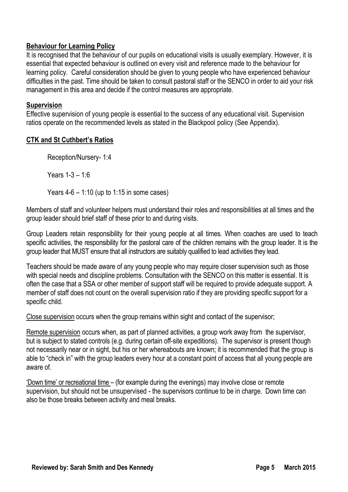# **Behaviour for Learning Policy**

It is recognised that the behaviour of our pupils on educational visits is usually exemplary. However, it is essential that expected behaviour is outlined on every visit and reference made to the behaviour for learning policy. Careful consideration should be given to young people who have experienced behaviour difficulties in the past. Time should be taken to consult pastoral staff or the SENCO in order to aid your risk management in this area and decide if the control measures are appropriate.

#### **Supervision**

Effective supervision of young people is essential to the success of any educational visit. Supervision ratios operate on the recommended levels as stated in the Blackpool policy (See Appendix).

# **CTK and St Cuthbert's Ratios**

Reception/Nursery- 1:4

Years 1-3 – 1:6

Years  $4-6 - 1:10$  (up to 1:15 in some cases)

Members of staff and volunteer helpers must understand their roles and responsibilities at all times and the group leader should brief staff of these prior to and during visits.

Group Leaders retain responsibility for their young people at all times. When coaches are used to teach specific activities, the responsibility for the pastoral care of the children remains with the group leader. It is the group leader that MUST ensure that all instructors are suitably qualified to lead activities they lead.

Teachers should be made aware of any young people who may require closer supervision such as those with special needs and discipline problems. Consultation with the SENCO on this matter is essential. It is often the case that a SSA or other member of support staff will be required to provide adequate support. A member of staff does not count on the overall supervision ratio if they are providing specific support for a specific child.

Close supervision occurs when the group remains within sight and contact of the supervisor;

Remote supervision occurs when, as part of planned activities, a group work away from the supervisor, but is subject to stated controls (e.g. during certain off-site expeditions). The supervisor is present though not necessarily near or in sight, but his or her whereabouts are known; it is recommended that the group is able to "check in" with the group leaders every hour at a constant point of access that all young people are aware of.

'Down time' or recreational time – (for example during the evenings) may involve close or remote supervision, but should not be unsupervised - the supervisors continue to be in charge. Down time can also be those breaks between activity and meal breaks.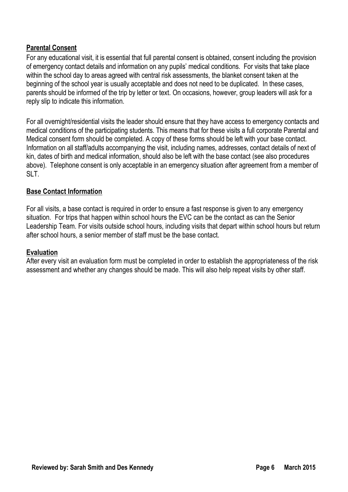# **Parental Consent**

For any educational visit, it is essential that full parental consent is obtained, consent including the provision of emergency contact details and information on any pupils' medical conditions. For visits that take place within the school day to areas agreed with central risk assessments, the blanket consent taken at the beginning of the school year is usually acceptable and does not need to be duplicated. In these cases, parents should be informed of the trip by letter or text. On occasions, however, group leaders will ask for a reply slip to indicate this information.

For all overnight/residential visits the leader should ensure that they have access to emergency contacts and medical conditions of the participating students. This means that for these visits a full corporate Parental and Medical consent form should be completed. A copy of these forms should be left with your base contact. Information on all staff/adults accompanying the visit, including names, addresses, contact details of next of kin, dates of birth and medical information, should also be left with the base contact (see also procedures above). Telephone consent is only acceptable in an emergency situation after agreement from a member of SLT.

# **Base Contact Information**

For all visits, a base contact is required in order to ensure a fast response is given to any emergency situation. For trips that happen within school hours the EVC can be the contact as can the Senior Leadership Team. For visits outside school hours, including visits that depart within school hours but return after school hours, a senior member of staff must be the base contact.

# **Evaluation**

After every visit an evaluation form must be completed in order to establish the appropriateness of the risk assessment and whether any changes should be made. This will also help repeat visits by other staff.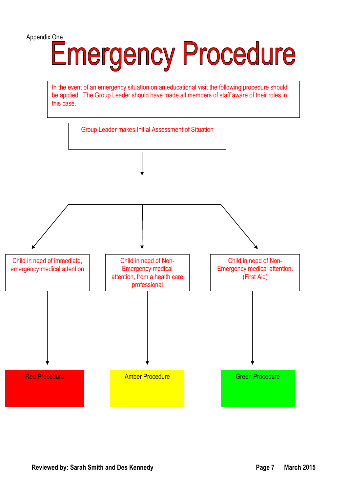